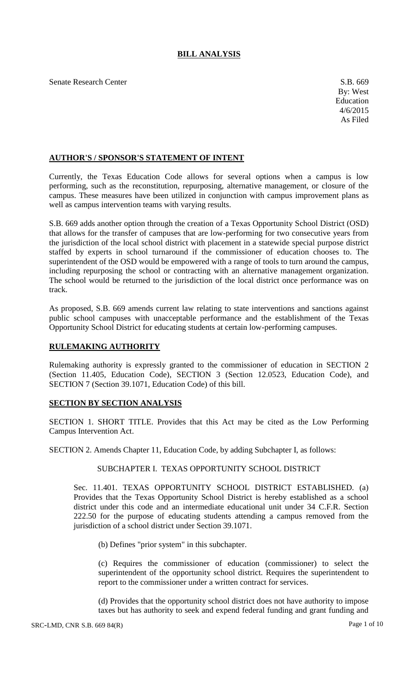# **BILL ANALYSIS**

Senate Research Center S.B. 669

# **AUTHOR'S / SPONSOR'S STATEMENT OF INTENT**

Currently, the Texas Education Code allows for several options when a campus is low performing, such as the reconstitution, repurposing, alternative management, or closure of the campus. These measures have been utilized in conjunction with campus improvement plans as well as campus intervention teams with varying results.

S.B. 669 adds another option through the creation of a Texas Opportunity School District (OSD) that allows for the transfer of campuses that are low-performing for two consecutive years from the jurisdiction of the local school district with placement in a statewide special purpose district staffed by experts in school turnaround if the commissioner of education chooses to. The superintendent of the OSD would be empowered with a range of tools to turn around the campus, including repurposing the school or contracting with an alternative management organization. The school would be returned to the jurisdiction of the local district once performance was on track.

As proposed, S.B. 669 amends current law relating to state interventions and sanctions against public school campuses with unacceptable performance and the establishment of the Texas Opportunity School District for educating students at certain low-performing campuses.

### **RULEMAKING AUTHORITY**

Rulemaking authority is expressly granted to the commissioner of education in SECTION 2 (Section 11.405, Education Code), SECTION 3 (Section 12.0523, Education Code), and SECTION 7 (Section 39.1071, Education Code) of this bill.

# **SECTION BY SECTION ANALYSIS**

SECTION 1. SHORT TITLE. Provides that this Act may be cited as the Low Performing Campus Intervention Act.

SECTION 2. Amends Chapter 11, Education Code, by adding Subchapter I, as follows:

# SUBCHAPTER I. TEXAS OPPORTUNITY SCHOOL DISTRICT

Sec. 11.401. TEXAS OPPORTUNITY SCHOOL DISTRICT ESTABLISHED. (a) Provides that the Texas Opportunity School District is hereby established as a school district under this code and an intermediate educational unit under 34 C.F.R. Section 222.50 for the purpose of educating students attending a campus removed from the jurisdiction of a school district under Section 39.1071.

(b) Defines "prior system" in this subchapter.

(c) Requires the commissioner of education (commissioner) to select the superintendent of the opportunity school district. Requires the superintendent to report to the commissioner under a written contract for services.

(d) Provides that the opportunity school district does not have authority to impose taxes but has authority to seek and expend federal funding and grant funding and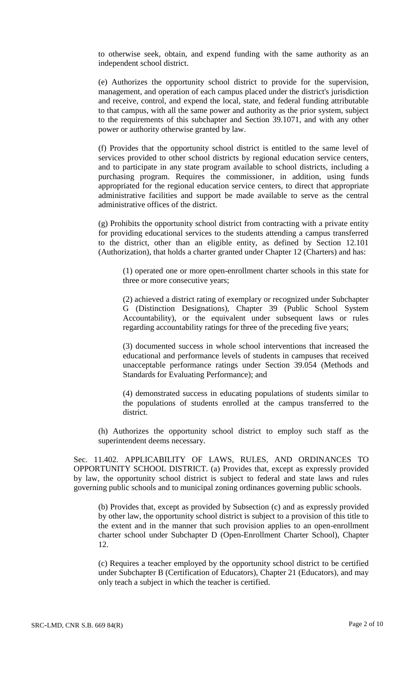to otherwise seek, obtain, and expend funding with the same authority as an independent school district.

(e) Authorizes the opportunity school district to provide for the supervision, management, and operation of each campus placed under the district's jurisdiction and receive, control, and expend the local, state, and federal funding attributable to that campus, with all the same power and authority as the prior system, subject to the requirements of this subchapter and Section 39.1071, and with any other power or authority otherwise granted by law.

(f) Provides that the opportunity school district is entitled to the same level of services provided to other school districts by regional education service centers, and to participate in any state program available to school districts, including a purchasing program. Requires the commissioner, in addition, using funds appropriated for the regional education service centers, to direct that appropriate administrative facilities and support be made available to serve as the central administrative offices of the district.

(g) Prohibits the opportunity school district from contracting with a private entity for providing educational services to the students attending a campus transferred to the district, other than an eligible entity, as defined by Section 12.101 (Authorization), that holds a charter granted under Chapter 12 (Charters) and has:

(1) operated one or more open-enrollment charter schools in this state for three or more consecutive years;

(2) achieved a district rating of exemplary or recognized under Subchapter G (Distinction Designations), Chapter 39 (Public School System Accountability), or the equivalent under subsequent laws or rules regarding accountability ratings for three of the preceding five years;

(3) documented success in whole school interventions that increased the educational and performance levels of students in campuses that received unacceptable performance ratings under Section 39.054 (Methods and Standards for Evaluating Performance); and

(4) demonstrated success in educating populations of students similar to the populations of students enrolled at the campus transferred to the district.

(h) Authorizes the opportunity school district to employ such staff as the superintendent deems necessary.

Sec. 11.402. APPLICABILITY OF LAWS, RULES, AND ORDINANCES TO OPPORTUNITY SCHOOL DISTRICT. (a) Provides that, except as expressly provided by law, the opportunity school district is subject to federal and state laws and rules governing public schools and to municipal zoning ordinances governing public schools.

(b) Provides that, except as provided by Subsection (c) and as expressly provided by other law, the opportunity school district is subject to a provision of this title to the extent and in the manner that such provision applies to an open-enrollment charter school under Subchapter D (Open-Enrollment Charter School), Chapter 12.

(c) Requires a teacher employed by the opportunity school district to be certified under Subchapter B (Certification of Educators), Chapter 21 (Educators), and may only teach a subject in which the teacher is certified.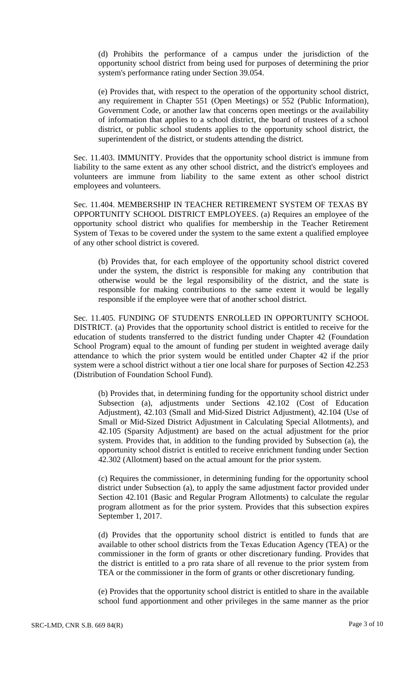(d) Prohibits the performance of a campus under the jurisdiction of the opportunity school district from being used for purposes of determining the prior system's performance rating under Section 39.054.

(e) Provides that, with respect to the operation of the opportunity school district, any requirement in Chapter 551 (Open Meetings) or 552 (Public Information), Government Code, or another law that concerns open meetings or the availability of information that applies to a school district, the board of trustees of a school district, or public school students applies to the opportunity school district, the superintendent of the district, or students attending the district.

Sec. 11.403. IMMUNITY. Provides that the opportunity school district is immune from liability to the same extent as any other school district, and the district's employees and volunteers are immune from liability to the same extent as other school district employees and volunteers.

Sec. 11.404. MEMBERSHIP IN TEACHER RETIREMENT SYSTEM OF TEXAS BY OPPORTUNITY SCHOOL DISTRICT EMPLOYEES. (a) Requires an employee of the opportunity school district who qualifies for membership in the Teacher Retirement System of Texas to be covered under the system to the same extent a qualified employee of any other school district is covered.

(b) Provides that, for each employee of the opportunity school district covered under the system, the district is responsible for making any contribution that otherwise would be the legal responsibility of the district, and the state is responsible for making contributions to the same extent it would be legally responsible if the employee were that of another school district.

Sec. 11.405. FUNDING OF STUDENTS ENROLLED IN OPPORTUNITY SCHOOL DISTRICT. (a) Provides that the opportunity school district is entitled to receive for the education of students transferred to the district funding under Chapter 42 (Foundation School Program) equal to the amount of funding per student in weighted average daily attendance to which the prior system would be entitled under Chapter 42 if the prior system were a school district without a tier one local share for purposes of Section 42.253 (Distribution of Foundation School Fund).

(b) Provides that, in determining funding for the opportunity school district under Subsection (a), adjustments under Sections 42.102 (Cost of Education Adjustment), 42.103 (Small and Mid-Sized District Adjustment), 42.104 (Use of Small or Mid-Sized District Adjustment in Calculating Special Allotments), and 42.105 (Sparsity Adjustment) are based on the actual adjustment for the prior system. Provides that, in addition to the funding provided by Subsection (a), the opportunity school district is entitled to receive enrichment funding under Section 42.302 (Allotment) based on the actual amount for the prior system.

(c) Requires the commissioner, in determining funding for the opportunity school district under Subsection (a), to apply the same adjustment factor provided under Section 42.101 (Basic and Regular Program Allotments) to calculate the regular program allotment as for the prior system. Provides that this subsection expires September 1, 2017.

(d) Provides that the opportunity school district is entitled to funds that are available to other school districts from the Texas Education Agency (TEA) or the commissioner in the form of grants or other discretionary funding. Provides that the district is entitled to a pro rata share of all revenue to the prior system from TEA or the commissioner in the form of grants or other discretionary funding.

(e) Provides that the opportunity school district is entitled to share in the available school fund apportionment and other privileges in the same manner as the prior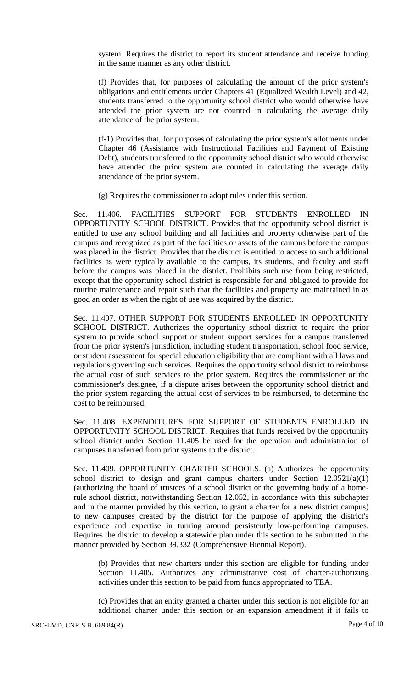system. Requires the district to report its student attendance and receive funding in the same manner as any other district.

(f) Provides that, for purposes of calculating the amount of the prior system's obligations and entitlements under Chapters 41 (Equalized Wealth Level) and 42, students transferred to the opportunity school district who would otherwise have attended the prior system are not counted in calculating the average daily attendance of the prior system.

(f-1) Provides that, for purposes of calculating the prior system's allotments under Chapter 46 (Assistance with Instructional Facilities and Payment of Existing Debt), students transferred to the opportunity school district who would otherwise have attended the prior system are counted in calculating the average daily attendance of the prior system.

(g) Requires the commissioner to adopt rules under this section.

Sec. 11.406. FACILITIES SUPPORT FOR STUDENTS ENROLLED IN OPPORTUNITY SCHOOL DISTRICT. Provides that the opportunity school district is entitled to use any school building and all facilities and property otherwise part of the campus and recognized as part of the facilities or assets of the campus before the campus was placed in the district. Provides that the district is entitled to access to such additional facilities as were typically available to the campus, its students, and faculty and staff before the campus was placed in the district. Prohibits such use from being restricted, except that the opportunity school district is responsible for and obligated to provide for routine maintenance and repair such that the facilities and property are maintained in as good an order as when the right of use was acquired by the district.

Sec. 11.407. OTHER SUPPORT FOR STUDENTS ENROLLED IN OPPORTUNITY SCHOOL DISTRICT. Authorizes the opportunity school district to require the prior system to provide school support or student support services for a campus transferred from the prior system's jurisdiction, including student transportation, school food service, or student assessment for special education eligibility that are compliant with all laws and regulations governing such services. Requires the opportunity school district to reimburse the actual cost of such services to the prior system. Requires the commissioner or the commissioner's designee, if a dispute arises between the opportunity school district and the prior system regarding the actual cost of services to be reimbursed, to determine the cost to be reimbursed.

Sec. 11.408. EXPENDITURES FOR SUPPORT OF STUDENTS ENROLLED IN OPPORTUNITY SCHOOL DISTRICT. Requires that funds received by the opportunity school district under Section 11.405 be used for the operation and administration of campuses transferred from prior systems to the district.

Sec. 11.409. OPPORTUNITY CHARTER SCHOOLS. (a) Authorizes the opportunity school district to design and grant campus charters under Section 12.0521(a)(1) (authorizing the board of trustees of a school district or the governing body of a homerule school district, notwithstanding Section 12.052, in accordance with this subchapter and in the manner provided by this section, to grant a charter for a new district campus) to new campuses created by the district for the purpose of applying the district's experience and expertise in turning around persistently low-performing campuses. Requires the district to develop a statewide plan under this section to be submitted in the manner provided by Section 39.332 (Comprehensive Biennial Report).

(b) Provides that new charters under this section are eligible for funding under Section 11.405. Authorizes any administrative cost of charter-authorizing activities under this section to be paid from funds appropriated to TEA.

(c) Provides that an entity granted a charter under this section is not eligible for an additional charter under this section or an expansion amendment if it fails to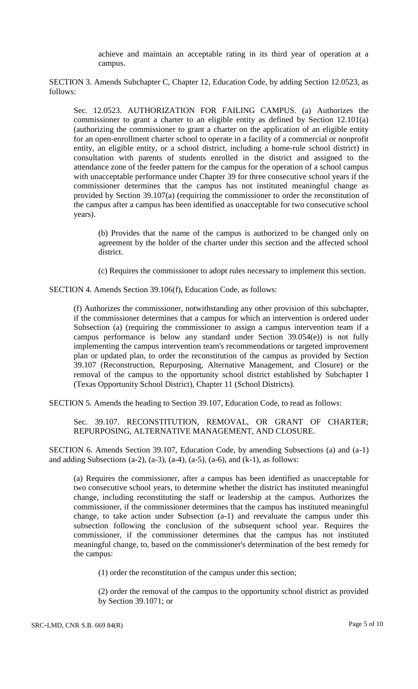achieve and maintain an acceptable rating in its third year of operation at a campus.

SECTION 3. Amends Subchapter C, Chapter 12, Education Code, by adding Section 12.0523, as follows:

Sec. 12.0523. AUTHORIZATION FOR FAILING CAMPUS. (a) Authorizes the commissioner to grant a charter to an eligible entity as defined by Section 12.101(a) (authorizing the commissioner to grant a charter on the application of an eligible entity for an open-enrollment charter school to operate in a facility of a commercial or nonprofit entity, an eligible entity, or a school district, including a home-rule school district) in consultation with parents of students enrolled in the district and assigned to the attendance zone of the feeder pattern for the campus for the operation of a school campus with unacceptable performance under Chapter 39 for three consecutive school years if the commissioner determines that the campus has not instituted meaningful change as provided by Section 39.107(a) (requiring the commissioner to order the reconstitution of the campus after a campus has been identified as unacceptable for two consecutive school years).

(b) Provides that the name of the campus is authorized to be changed only on agreement by the holder of the charter under this section and the affected school district.

(c) Requires the commissioner to adopt rules necessary to implement this section.

SECTION 4. Amends Section 39.106(f), Education Code, as follows:

(f) Authorizes the commissioner, notwithstanding any other provision of this subchapter, if the commissioner determines that a campus for which an intervention is ordered under Subsection (a) (requiring the commissioner to assign a campus intervention team if a campus performance is below any standard under Section 39.054(e)) is not fully implementing the campus intervention team's recommendations or targeted improvement plan or updated plan, to order the reconstitution of the campus as provided by Section 39.107 (Reconstruction, Repurposing, Alternative Management, and Closure) or the removal of the campus to the opportunity school district established by Subchapter I (Texas Opportunity School District), Chapter 11 (School Districts).

SECTION 5. Amends the heading to Section 39.107, Education Code, to read as follows:

Sec. 39.107. RECONSTITUTION, REMOVAL, OR GRANT OF CHARTER; REPURPOSING, ALTERNATIVE MANAGEMENT, AND CLOSURE.

SECTION 6. Amends Section 39.107, Education Code, by amending Subsections (a) and (a-1) and adding Subsections (a-2), (a-3), (a-4), (a-5), (a-6), and (k-1), as follows:

(a) Requires the commissioner, after a campus has been identified as unacceptable for two consecutive school years, to determine whether the district has instituted meaningful change, including reconstituting the staff or leadership at the campus. Authorizes the commissioner, if the commissioner determines that the campus has instituted meaningful change, to take action under Subsection (a-1) and reevaluate the campus under this subsection following the conclusion of the subsequent school year. Requires the commissioner, if the commissioner determines that the campus has not instituted meaningful change, to, based on the commissioner's determination of the best remedy for the campus:

(1) order the reconstitution of the campus under this section;

(2) order the removal of the campus to the opportunity school district as provided by Section 39.1071; or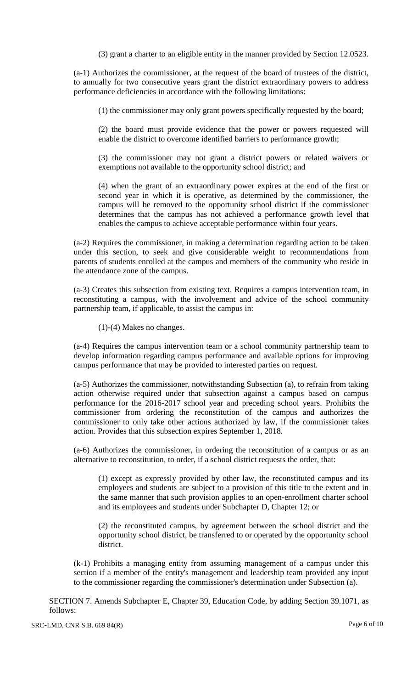(3) grant a charter to an eligible entity in the manner provided by Section 12.0523.

(a-1) Authorizes the commissioner, at the request of the board of trustees of the district, to annually for two consecutive years grant the district extraordinary powers to address performance deficiencies in accordance with the following limitations:

(1) the commissioner may only grant powers specifically requested by the board;

(2) the board must provide evidence that the power or powers requested will enable the district to overcome identified barriers to performance growth;

(3) the commissioner may not grant a district powers or related waivers or exemptions not available to the opportunity school district; and

(4) when the grant of an extraordinary power expires at the end of the first or second year in which it is operative, as determined by the commissioner, the campus will be removed to the opportunity school district if the commissioner determines that the campus has not achieved a performance growth level that enables the campus to achieve acceptable performance within four years.

(a-2) Requires the commissioner, in making a determination regarding action to be taken under this section, to seek and give considerable weight to recommendations from parents of students enrolled at the campus and members of the community who reside in the attendance zone of the campus.

(a-3) Creates this subsection from existing text. Requires a campus intervention team, in reconstituting a campus, with the involvement and advice of the school community partnership team, if applicable, to assist the campus in:

(1)-(4) Makes no changes.

(a-4) Requires the campus intervention team or a school community partnership team to develop information regarding campus performance and available options for improving campus performance that may be provided to interested parties on request.

(a-5) Authorizes the commissioner, notwithstanding Subsection (a), to refrain from taking action otherwise required under that subsection against a campus based on campus performance for the 2016-2017 school year and preceding school years. Prohibits the commissioner from ordering the reconstitution of the campus and authorizes the commissioner to only take other actions authorized by law, if the commissioner takes action. Provides that this subsection expires September 1, 2018.

(a-6) Authorizes the commissioner, in ordering the reconstitution of a campus or as an alternative to reconstitution, to order, if a school district requests the order, that:

(1) except as expressly provided by other law, the reconstituted campus and its employees and students are subject to a provision of this title to the extent and in the same manner that such provision applies to an open-enrollment charter school and its employees and students under Subchapter D, Chapter 12; or

(2) the reconstituted campus, by agreement between the school district and the opportunity school district, be transferred to or operated by the opportunity school district.

(k-1) Prohibits a managing entity from assuming management of a campus under this section if a member of the entity's management and leadership team provided any input to the commissioner regarding the commissioner's determination under Subsection (a).

SECTION 7. Amends Subchapter E, Chapter 39, Education Code, by adding Section 39.1071, as follows: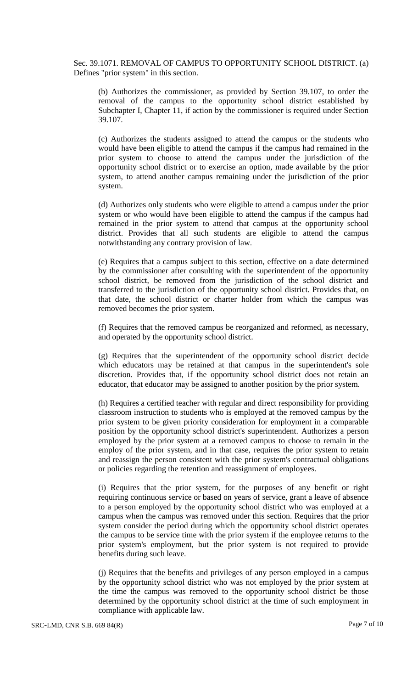Sec. 39.1071. REMOVAL OF CAMPUS TO OPPORTUNITY SCHOOL DISTRICT. (a) Defines "prior system" in this section.

(b) Authorizes the commissioner, as provided by Section 39.107, to order the removal of the campus to the opportunity school district established by Subchapter I, Chapter 11, if action by the commissioner is required under Section 39.107.

(c) Authorizes the students assigned to attend the campus or the students who would have been eligible to attend the campus if the campus had remained in the prior system to choose to attend the campus under the jurisdiction of the opportunity school district or to exercise an option, made available by the prior system, to attend another campus remaining under the jurisdiction of the prior system.

(d) Authorizes only students who were eligible to attend a campus under the prior system or who would have been eligible to attend the campus if the campus had remained in the prior system to attend that campus at the opportunity school district. Provides that all such students are eligible to attend the campus notwithstanding any contrary provision of law.

(e) Requires that a campus subject to this section, effective on a date determined by the commissioner after consulting with the superintendent of the opportunity school district, be removed from the jurisdiction of the school district and transferred to the jurisdiction of the opportunity school district. Provides that, on that date, the school district or charter holder from which the campus was removed becomes the prior system.

(f) Requires that the removed campus be reorganized and reformed, as necessary, and operated by the opportunity school district.

(g) Requires that the superintendent of the opportunity school district decide which educators may be retained at that campus in the superintendent's sole discretion. Provides that, if the opportunity school district does not retain an educator, that educator may be assigned to another position by the prior system.

(h) Requires a certified teacher with regular and direct responsibility for providing classroom instruction to students who is employed at the removed campus by the prior system to be given priority consideration for employment in a comparable position by the opportunity school district's superintendent. Authorizes a person employed by the prior system at a removed campus to choose to remain in the employ of the prior system, and in that case, requires the prior system to retain and reassign the person consistent with the prior system's contractual obligations or policies regarding the retention and reassignment of employees.

(i) Requires that the prior system, for the purposes of any benefit or right requiring continuous service or based on years of service, grant a leave of absence to a person employed by the opportunity school district who was employed at a campus when the campus was removed under this section. Requires that the prior system consider the period during which the opportunity school district operates the campus to be service time with the prior system if the employee returns to the prior system's employment, but the prior system is not required to provide benefits during such leave.

(j) Requires that the benefits and privileges of any person employed in a campus by the opportunity school district who was not employed by the prior system at the time the campus was removed to the opportunity school district be those determined by the opportunity school district at the time of such employment in compliance with applicable law.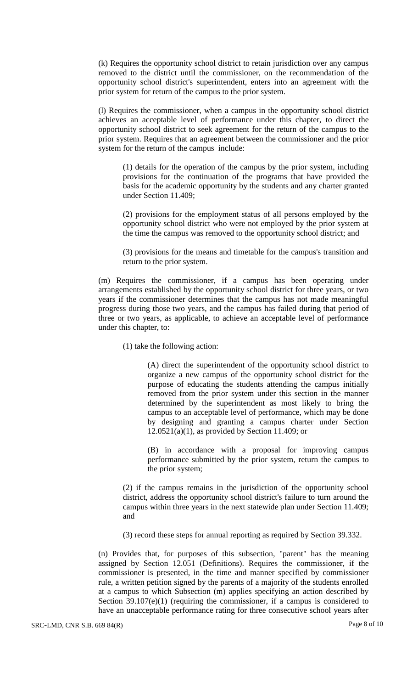(k) Requires the opportunity school district to retain jurisdiction over any campus removed to the district until the commissioner, on the recommendation of the opportunity school district's superintendent, enters into an agreement with the prior system for return of the campus to the prior system.

(l) Requires the commissioner, when a campus in the opportunity school district achieves an acceptable level of performance under this chapter, to direct the opportunity school district to seek agreement for the return of the campus to the prior system. Requires that an agreement between the commissioner and the prior system for the return of the campus include:

(1) details for the operation of the campus by the prior system, including provisions for the continuation of the programs that have provided the basis for the academic opportunity by the students and any charter granted under Section 11.409;

(2) provisions for the employment status of all persons employed by the opportunity school district who were not employed by the prior system at the time the campus was removed to the opportunity school district; and

(3) provisions for the means and timetable for the campus's transition and return to the prior system.

(m) Requires the commissioner, if a campus has been operating under arrangements established by the opportunity school district for three years, or two years if the commissioner determines that the campus has not made meaningful progress during those two years, and the campus has failed during that period of three or two years, as applicable, to achieve an acceptable level of performance under this chapter, to:

(1) take the following action:

(A) direct the superintendent of the opportunity school district to organize a new campus of the opportunity school district for the purpose of educating the students attending the campus initially removed from the prior system under this section in the manner determined by the superintendent as most likely to bring the campus to an acceptable level of performance, which may be done by designing and granting a campus charter under Section  $12.0521(a)(1)$ , as provided by Section 11.409; or

(B) in accordance with a proposal for improving campus performance submitted by the prior system, return the campus to the prior system;

(2) if the campus remains in the jurisdiction of the opportunity school district, address the opportunity school district's failure to turn around the campus within three years in the next statewide plan under Section 11.409; and

(3) record these steps for annual reporting as required by Section 39.332.

(n) Provides that, for purposes of this subsection, "parent" has the meaning assigned by Section 12.051 (Definitions). Requires the commissioner, if the commissioner is presented, in the time and manner specified by commissioner rule, a written petition signed by the parents of a majority of the students enrolled at a campus to which Subsection (m) applies specifying an action described by Section  $39.107(e)(1)$  (requiring the commissioner, if a campus is considered to have an unacceptable performance rating for three consecutive school years after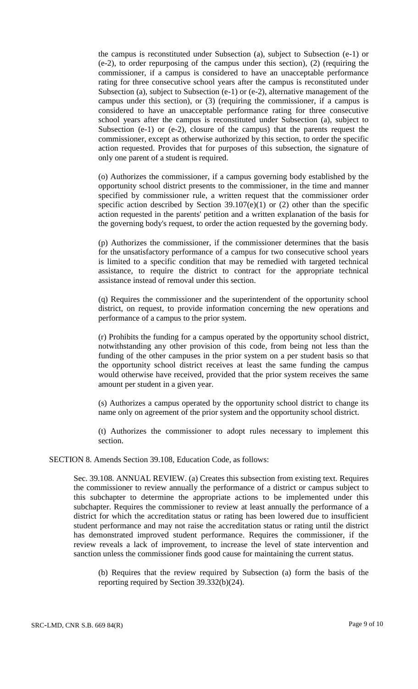the campus is reconstituted under Subsection (a), subject to Subsection (e-1) or (e-2), to order repurposing of the campus under this section), (2) (requiring the commissioner, if a campus is considered to have an unacceptable performance rating for three consecutive school years after the campus is reconstituted under Subsection (a), subject to Subsection (e-1) or (e-2), alternative management of the campus under this section), or (3) (requiring the commissioner, if a campus is considered to have an unacceptable performance rating for three consecutive school years after the campus is reconstituted under Subsection (a), subject to Subsection (e-1) or (e-2), closure of the campus) that the parents request the commissioner, except as otherwise authorized by this section, to order the specific action requested. Provides that for purposes of this subsection, the signature of only one parent of a student is required.

(o) Authorizes the commissioner, if a campus governing body established by the opportunity school district presents to the commissioner, in the time and manner specified by commissioner rule, a written request that the commissioner order specific action described by Section  $39.107(e)(1)$  or  $(2)$  other than the specific action requested in the parents' petition and a written explanation of the basis for the governing body's request, to order the action requested by the governing body.

(p) Authorizes the commissioner, if the commissioner determines that the basis for the unsatisfactory performance of a campus for two consecutive school years is limited to a specific condition that may be remedied with targeted technical assistance, to require the district to contract for the appropriate technical assistance instead of removal under this section.

(q) Requires the commissioner and the superintendent of the opportunity school district, on request, to provide information concerning the new operations and performance of a campus to the prior system.

(r) Prohibits the funding for a campus operated by the opportunity school district, notwithstanding any other provision of this code, from being not less than the funding of the other campuses in the prior system on a per student basis so that the opportunity school district receives at least the same funding the campus would otherwise have received, provided that the prior system receives the same amount per student in a given year.

(s) Authorizes a campus operated by the opportunity school district to change its name only on agreement of the prior system and the opportunity school district.

(t) Authorizes the commissioner to adopt rules necessary to implement this section.

SECTION 8. Amends Section 39.108, Education Code, as follows:

Sec. 39.108. ANNUAL REVIEW. (a) Creates this subsection from existing text. Requires the commissioner to review annually the performance of a district or campus subject to this subchapter to determine the appropriate actions to be implemented under this subchapter. Requires the commissioner to review at least annually the performance of a district for which the accreditation status or rating has been lowered due to insufficient student performance and may not raise the accreditation status or rating until the district has demonstrated improved student performance. Requires the commissioner, if the review reveals a lack of improvement, to increase the level of state intervention and sanction unless the commissioner finds good cause for maintaining the current status.

(b) Requires that the review required by Subsection (a) form the basis of the reporting required by Section 39.332(b)(24).